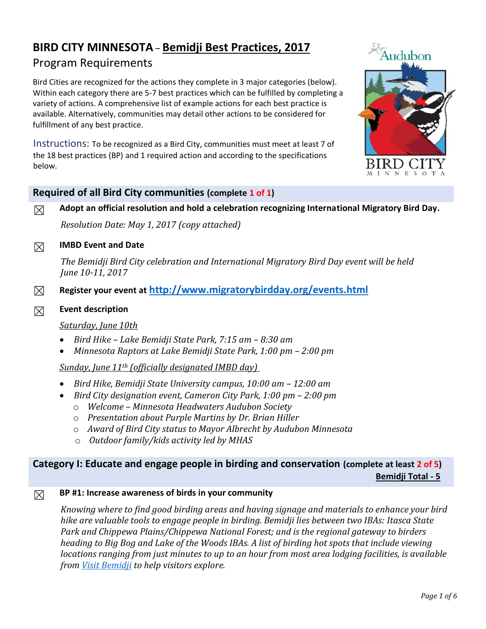# **BIRD CITY MINNESOTA** – **Bemidji Best Practices, 2017** Program Requirements

Bird Cities are recognized for the actions they complete in 3 major categories (below). Within each category there are 5-7 best practices which can be fulfilled by completing a variety of actions. A comprehensive list of example actions for each best practice is available. Alternatively, communities may detail other actions to be considered for fulfillment of any best practice.

Instructions: To be recognized as a Bird City, communities must meet at least 7 of the 18 best practices (BP) and 1 required action and according to the specifications below.



#### **Required of all Bird City communities (complete 1 of 1)**

☒ **Adopt an official resolution and hold a celebration recognizing International Migratory Bird Day.** 

*Resolution Date: May 1, 2017 (copy attached)*

#### ☒ **IMBD Event and Date**

*The Bemidji Bird City celebration and International Migratory Bird Day event will be held June 10-11, 2017*

☒ **Register your event at <http://www.migratorybirdday.org/events.html>**

#### ☒ **Event description**

#### *Saturday, June 10th*

- *Bird Hike – Lake Bemidji State Park, 7:15 am – 8:30 am*
- *Minnesota Raptors at Lake Bemidji State Park, 1:00 pm – 2:00 pm*

*Sunday, June 11th (officially designated IMBD day)*

- *Bird Hike, Bemidji State University campus, 10:00 am – 12:00 am*
- *Bird City designation event, Cameron City Park, 1:00 pm – 2:00 pm*
	- o *Welcome – Minnesota Headwaters Audubon Society*
	- o *Presentation about Purple Martins by Dr. Brian Hiller*
	- o *Award of Bird City status to Mayor Albrecht by Audubon Minnesota*
	- o *Outdoor family/kids activity led by MHAS*

#### **Category I: Educate and engage people in birding and conservation (complete at least 2 of 5) Bemidji Total - 5**

#### ☒ **BP #1: Increase awareness of birds in your community**

*Knowing where to find good birding areas and having signage and materials to enhance your bird hike are valuable tools to engage people in birding. Bemidji lies between two IBAs: Itasca State Park and Chippewa Plains/Chippewa National Forest; and is the regional gateway to birders heading to Big Bog and Lake of the Woods IBAs. A list of birding hot spots that include viewing locations ranging from just minutes to up to an hour from most area lodging facilities, is available from [Visit Bemidji](http://www.visitbemidji.com/what-to-do/outdoor-activities/) to help visitors explore.*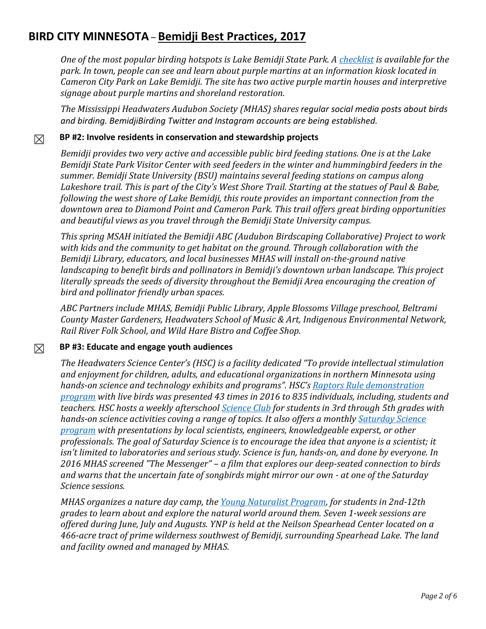*One of the most popular birding hotspots is Lake Bemidji State Park. A [checklist](http://files.dnr.state.mn.us/destinations/state_parks/lake_bemidji/bird_checklist.pdf) is available for the park. In town, people can see and learn about purple martins at an information kiosk located in Cameron City Park on Lake Bemidji. The site has two active purple martin houses and interpretive signage about purple martins and shoreland restoration.* 

*The Mississippi Headwaters Audubon Society (MHAS) shares regular social media posts about birds and birding. BemidjiBirding Twitter and Instagram accounts are being established.*

## ☒ **BP #2: Involve residents in conservation and stewardship projects**

*Bemidji provides two very active and accessible public bird feeding stations. One is at the Lake Bemidji State Park Visitor Center with seed feeders in the winter and hummingbird feeders in the summer. Bemidji State University (BSU) maintains several feeding stations on campus along Lakeshore trail. This is part of the City's West Shore Trail. Starting at the statues of Paul & Babe, following the west shore of Lake Bemidji, this route provides an important connection from the downtown area to Diamond Point and Cameron Park. This trail offers great birding opportunities and beautiful views as you travel through the Bemidji State University campus.*

*This spring MSAH initiated the Bemidji ABC (Audubon Birdscaping Collaborative) Project to work with kids and the community to get habitat on the ground. Through collaboration with the Bemidji Library, educators, and local businesses MHAS will install on-the-ground native landscaping to benefit birds and pollinators in Bemidji's downtown urban landscape. This project literally spreads the seeds of diversity throughout the Bemidji Area encouraging the creation of bird and pollinator friendly urban spaces.*

*ABC Partners include MHAS, Bemidji Public Library, Apple Blossoms Village preschool, Beltrami County Master Gardeners, Headwaters School of Music & Art, Indigenous Environmental Network, Rail River Folk School, and Wild Hare Bistro and Coffee Shop.*

## ☒ **BP #3: Educate and engage youth audiences**

*The Headwaters Science Center's (HSC) is a facility dedicated "To provide intellectual stimulation and enjoyment for children, adults, and educational organizations in northern Minnesota using hands-on science and technology exhibits and programs". HSC's Raptors Rule [demonstration](http://www.hscbemidji.org/demonstrations.html)  [program](http://www.hscbemidji.org/demonstrations.html) with live birds was presented 43 times in 2016 to 835 individuals, including, students and teachers. HSC hosts a weekly afterschool [Science Club](http://www.hscbemidji.org/science-club.html) for students in 3rd through 5th grades with hands-on science activities coving a range of topics. It also offers a monthly [Saturday Science](http://www.hscbemidji.org/adult---family-activities.html)  [program](http://www.hscbemidji.org/adult---family-activities.html) with presentations by local scientists, engineers, knowledgeable experst, or other professionals. The goal of Saturday Science is to encourage the idea that anyone is a scientist; it isn't limited to laboratories and serious study. Science is fun, hands-on, and done by everyone. In 2016 MHAS screened "The Messenger" – a film that explores our deep-seated connection to birds and warns that the uncertain fate of songbirds might mirror our own - at one of the Saturday Science sessions.* 

*MHAS organizes a nature day camp, the [Young Naturalist Program,](http://www.spearheadmhas.org/young-naturalist-program.php) for students in 2nd-12th grades to learn about and explore the natural world around them. Seven 1-week sessions are offered during June, July and Augusts. YNP is held at the Neilson Spearhead Center located on a 466-acre tract of prime wilderness southwest of Bemidji, surrounding Spearhead Lake. The land and facility owned and managed by MHAS.*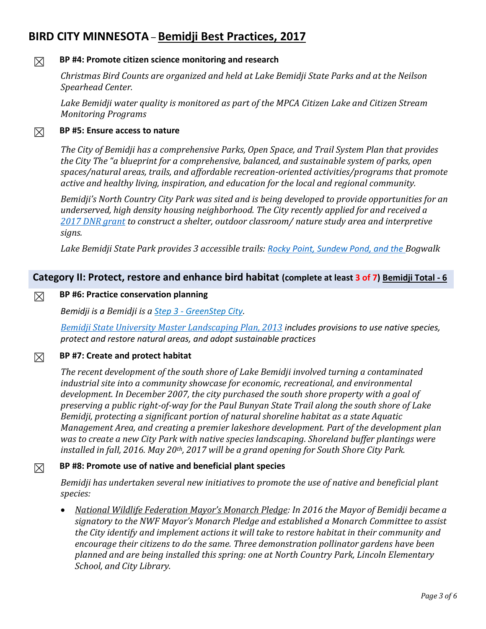### ☒ **BP #4: Promote citizen science monitoring and research**

*Christmas Bird Counts are organized and held at Lake Bemidji State Parks and at the Neilson Spearhead Center.*

*Lake Bemidji water quality is monitored as part of the MPCA Citizen Lake and Citizen Stream Monitoring Programs*

#### ☒ **BP #5: Ensure access to nature**

*The City of Bemidji has a comprehensive Parks, Open Space, and Trail System Plan that provides the City The "a blueprint for a comprehensive, balanced, and sustainable system of parks, open spaces/natural areas, trails, and affordable recreation-oriented activities/programs that promote active and healthy living, inspiration, and education for the local and regional community.*

*Bemidji's North Country City Park was sited and is being developed to provide opportunities for an underserved, high density housing neighborhood. The City recently applied for and received a [2017 DNR grant](http://files.dnr.state.mn.us/assistance/grants/recreation/outdoor_rec/2017_grants.pdf) to construct a shelter, outdoor classroom/ nature study area and interpretive signs.* 

*Lake Bemidji State Park provides 3 accessible trails: [Rocky Point, Sundew Pond, and the](http://files.dnr.state.mn.us/maps/state_parks/spk00205_summer.pdf) Bogwalk*

#### **Category II: Protect, restore and enhance bird habitat (complete at least 3 of 7) Bemidji Total - 6**

#### ☒ **BP #6: Practice conservation planning**

*Bemidji is a Bemidji is a Step 3 - [GreenStep City.](http://www.ci.bemidji.mn.us/index.asp?Type=B_BASIC&SEC=%7b3A34E0DD-C320-46BF-BFA9-0921FA9B2F65%7d&DE=%7b44C533A4-8B13-40B6-8E22-0777A811C8CF%7d)* 

*Bemidji State University [Master Landscaping Plan, 2013](https://www.bemidjistate.edu/offices/sustainability/wp-content/uploads/sites/59/2015/09/BSU-Landscape-Master-Plan.pdf) includes provisions to use native species, protect and restore natural areas, and adopt sustainable practices*

### ☒ **BP #7: Create and protect habitat**

*The recent development of the south shore of Lake Bemidji involved turning a contaminated industrial site into a community showcase for economic, recreational, and environmental development. In December 2007, the city purchased the south shore property with a goal of preserving a public right-of-way for the Paul Bunyan State Trail along the south shore of Lake Bemidji, protecting a significant portion of natural shoreline habitat as a state Aquatic Management Area, and creating a premier lakeshore development. Part of the development plan was to create a new City Park with native species landscaping. Shoreland buffer plantings were installed in fall, 2016. May 20th, 2017 will be a grand opening for South Shore City Park.*

#### ☒ **BP #8: Promote use of native and beneficial plant species**

*Bemidji has undertaken several new initiatives to promote the use of native and beneficial plant species:*

 *National Wildlife Federation Mayor's Monarch Pledge: In 2016 the Mayor of Bemidji became a signatory to the NWF Mayor's Monarch Pledge and established a Monarch Committee to assist the City identify and implement actions it will take to restore habitat in their community and encourage their citizens to do the same. Three demonstration pollinator gardens have been planned and are being installed this spring: one at North Country Park, Lincoln Elementary School, and City Library.*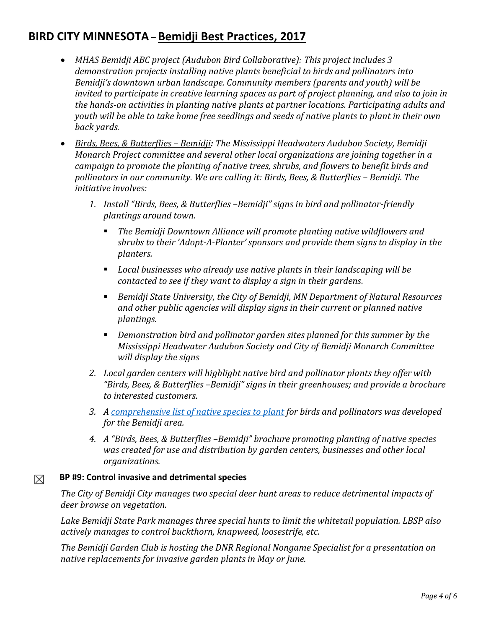- *MHAS Bemidji ABC project (Audubon Bird Collaborative): This project includes 3 demonstration projects installing native plants beneficial to birds and pollinators into Bemidji's downtown urban landscape. Community members (parents and youth) will be invited to participate in creative learning spaces as part of project planning, and also to join in the hands-on activities in planting native plants at partner locations. Participating adults and youth will be able to take home free seedlings and seeds of native plants to plant in their own back yards.*
- *Birds, Bees, & Butterflies – Bemidji: The Mississippi Headwaters Audubon Society, Bemidji Monarch Project committee and several other local organizations are joining together in a campaign to promote the planting of native trees, shrubs, and flowers to benefit birds and pollinators* in our community. We are calling it: Birds, Bees, & Butterflies - Bemidji. The *initiative involves:*
	- *1. Install "Birds, Bees, & Butterflies –Bemidji" signs in bird and pollinator-friendly plantings around town.*
		- *The Bemidji Downtown Alliance will promote planting native wildflowers and shrubs to their 'Adopt-A-Planter' sponsors and provide them signs to display in the planters.*
		- *Local businesses who already use native plants in their landscaping will be contacted to see if they want to display a sign in their gardens.*
		- *Bemidji State University, the City of Bemidji, MN Department of Natural Resources and other public agencies will display signs in their current or planned native plantings.*
		- *Demonstration bird and pollinator garden sites planned for this summer by the Mississippi Headwater Audubon Society and City of Bemidji Monarch Committee will display the signs*
	- *2. Local garden centers will highlight native bird and pollinator plants they offer with "Birds, Bees, & Butterflies –Bemidji" signs in their greenhouses; and provide a brochure to interested customers.*
	- *3. A [comprehensive list of native species to plant](http://www.spearheadmhas.org/resources/Bemidji%20Native%20species%20list6.pdf) for birds and pollinators was developed for the Bemidji area.*
	- *4. A "Birds, Bees, & Butterflies –Bemidji" brochure promoting planting of native species was created for use and distribution by garden centers, businesses and other local organizations.*

## ☒ **BP #9: Control invasive and detrimental species**

*The City of Bemidji City manages two special deer hunt areas to reduce detrimental impacts of deer browse on vegetation.* 

*Lake Bemidji State Park manages three special hunts to limit the whitetail population. LBSP also actively manages to control buckthorn, knapweed, loosestrife, etc.* 

*The Bemidji Garden Club is hosting the DNR Regional Nongame Specialist for a presentation on native replacements for invasive garden plants in May or June.*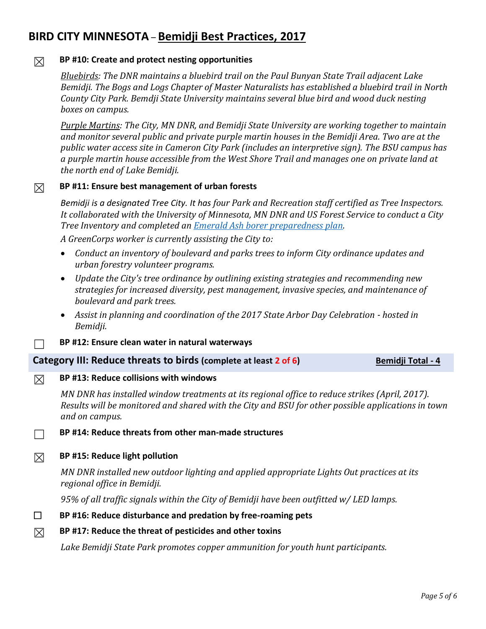### ☒ **BP #10: Create and protect nesting opportunities**

*Bluebirds: The DNR maintains a bluebird trail on the Paul Bunyan State Trail adjacent Lake Bemidji. The Bogs and Logs Chapter of Master Naturalists has established a bluebird trail in North County City Park. Bemdji State University maintains several blue bird and wood duck nesting boxes on campus.*

*Purple Martins: The City, MN DNR, and Bemidji State University are working together to maintain and monitor several public and private purple martin houses in the Bemidji Area. Two are at the public water access site in Cameron City Park (includes an interpretive sign). The BSU campus has a purple martin house accessible from the West Shore Trail and manages one on private land at the north end of Lake Bemidji.*

#### ☒ **BP #11: Ensure best management of urban forests**

*Bemidji is a designated Tree City. It has four Park and Recreation staff certified as Tree Inspectors. It collaborated with the University of Minnesota, MN DNR and US Forest Service to conduct a City Tree Inventory and completed an [Emerald Ash borer preparedness plan.](http://www.ci.bemidji.mn.us/vertical/sites/%7BDC40720D-A823-4643-91CD-6456402D11F6%7D/uploads/Community_Tree_Fact_Sheet_2013-_Bemidji.pdf)* 

*A GreenCorps worker is currently assisting the City to:*

- *Conduct an inventory of boulevard and parks trees to inform City ordinance updates and urban forestry volunteer programs.*
- *Update the City's tree ordinance by outlining existing strategies and recommending new strategies for increased diversity, pest management, invasive species, and maintenance of boulevard and park trees.*
- *Assist in planning and coordination of the 2017 State Arbor Day Celebration - hosted in Bemidji.*
- ☐ **BP #12: Ensure clean water in natural waterways**

#### **Category III: Reduce threats to birds (complete at least 2 of 6)** Bemidji Total - 4

## ☒ **BP #13: Reduce collisions with windows**

*MN DNR has installed window treatments at its regional office to reduce strikes (April, 2017). Results will be monitored and shared with the City and BSU for other possible applications in town and on campus.*

☐ **BP #14: Reduce threats from other man-made structures**

#### ☒ **BP #15: Reduce light pollution**

*MN DNR installed new outdoor lighting and applied appropriate Lights Out practices at its regional office in Bemidji.*

*95% of all traffic signals within the City of Bemidji have been outfitted w/ LED lamps.*

#### ☐ **BP #16: Reduce disturbance and predation by free-roaming pets**

## ☒ **BP #17: Reduce the threat of pesticides and other toxins**

*Lake Bemidji State Park promotes copper ammunition for youth hunt participants.*